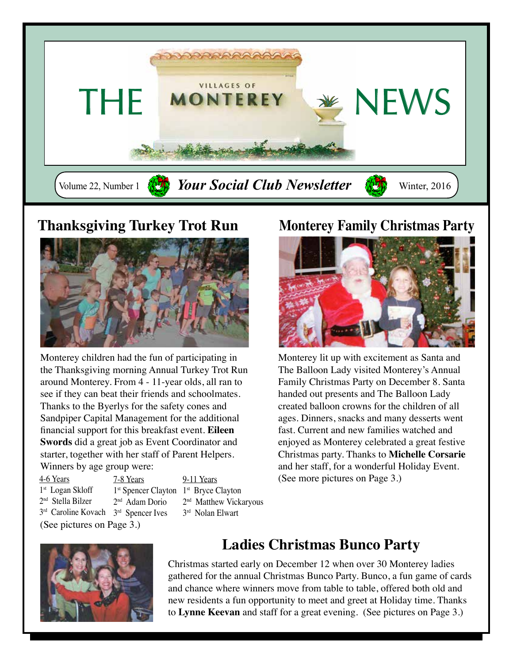

# **Thanksgiving Turkey Trot Run**



Monterey children had the fun of participating in the Thanksgiving morning Annual Turkey Trot Run **Thanksgiving Turkey Trot Run Thanksgiving Turkey Trot Run Thanksgiving Turkey Trot Run** around Monterey. From 4 - 11-year olds, all ran to see if they can beat their friends and schoolmates. handed out presents and Thanks to the Byerlys for the safety cones and created balloon cr Sandpiper Capital Management for the additional ages. Dinners, snacks and Sandpiper Capital Management for the additional financial support for this breakfast event. **Eileen** fast. Current and new fam **Swords** did a great job as Event Coordinator and states and starter and starter and starter and states of partners. starter, together with her staff of Parent Helpers. Winners by age group were:  $\frac{1}{2}$  as event control and starter, the state of participation of participation of participation  $\frac{1}{2}$  of participation of participation of participation of participation of participation of participation of parti  $\frac{1}{\sqrt{2}}$  sandpiper capital management for the additional ages. Dimens, snacks event communication and support for this present covert. Eneem and starter, there is no part of part of part o

| $4-6$ Years                              | 7-8 Years                                 | 9-11 Years               |  |  |  |
|------------------------------------------|-------------------------------------------|--------------------------|--|--|--|
| $1st$ Logan Skloff                       | $1st$ Spencer Clayton $1st$ Bryce Clayton |                          |  |  |  |
| $2nd$ Stella Bilzer                      | $2nd$ Adam Dorio                          | $2nd$ Matthew Vickaryous |  |  |  |
| $3rd$ Caroline Kovach $3rd$ Spencer Ives |                                           | 3rd Nolan Elwart         |  |  |  |
| (See pictures on Page 3.)                |                                           |                          |  |  |  |

# **Monterey Family Christmas Party**



Monterey lit up with excitement as Santa and The Balloon Lady visited Monterey's Annual Family Christmas Party on December 8. Santa handed out presents and The Balloon Lady created balloon crowns for the children of all ages. Dinners, snacks and many desserts went fast. Current and new families watched and enjoyed as Monterey celebrated a great festive Christmas party. Thanks to **Michelle Corsarie** and her staff, for a wonderful Holiday Event. (See more pictures on Page 3.)



# **Ladies Christmas Bunco Party**

Christmas started early on December 12 when over 30 Monterey ladies gathered for the annual Christmas Bunco Party. Bunco, a fun game of cards and chance where winners move from table to table, offered both old and new residents a fun opportunity to meet and greet at Holiday time. Thanks to **Lynne Keevan** and staff for a great evening. (See pictures on Page 3.)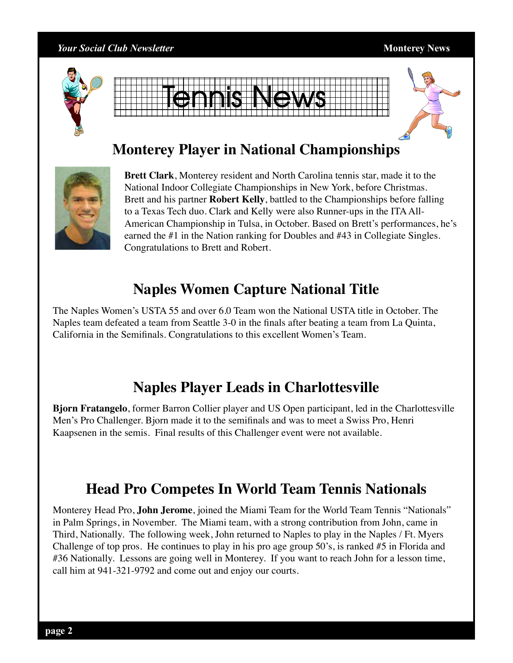#### *Your Social Club Newsletter* **Monterey News Monterey News**





# **Monterey Player in National Championships**



**Brett Clark**, Monterey resident and North Carolina tennis star, made it to the National Indoor Collegiate Championships in New York, before Christmas. Brett and his partner **Robert Kelly**, battled to the Championships before falling to a Texas Tech duo. Clark and Kelly were also Runner-ups in the ITA All-American Championship in Tulsa, in October. Based on Brett's performances, he's earned the #1 in the Nation ranking for Doubles and #43 in Collegiate Singles. Congratulations to Brett and Robert.

# **Naples Women Capture National Title**

The Naples Women's USTA 55 and over 6.0 Team won the National USTA title in October. The Naples team defeated a team from Seattle 3-0 in the finals after beating a team from La Quinta, California in the Semifinals. Congratulations to this excellent Women's Team.

# **Naples Player Leads in Charlottesville**

**Bjorn Fratangelo**, former Barron Collier player and US Open participant, led in the Charlottesville Men's Pro Challenger. Bjorn made it to the semifinals and was to meet a Swiss Pro, Henri Kaapsenen in the semis. Final results of this Challenger event were not available.

# **Head Pro Competes In World Team Tennis Nationals**

Monterey Head Pro, **John Jerome**, joined the Miami Team for the World Team Tennis "Nationals" in Palm Springs, in November. The Miami team, with a strong contribution from John, came in Third, Nationally. The following week, John returned to Naples to play in the Naples / Ft. Myers Challenge of top pros. He continues to play in his pro age group 50's, is ranked #5 in Florida and #36 Nationally. Lessons are going well in Monterey. If you want to reach John for a lesson time, call him at 941-321-9792 and come out and enjoy our courts.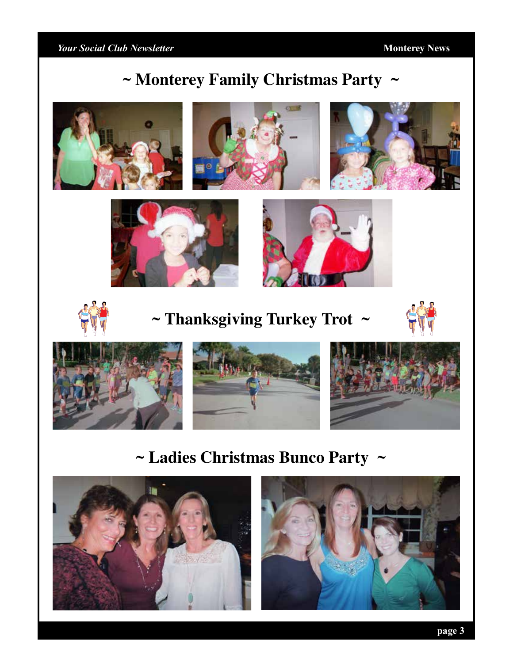### *Your Social Club Newsletter* **Monterey News**

# **~ Monterey Family Christmas Party ~**













# **~ Thanksgiving Turkey Trot ~**









# **~ Ladies Christmas Bunco Party ~**



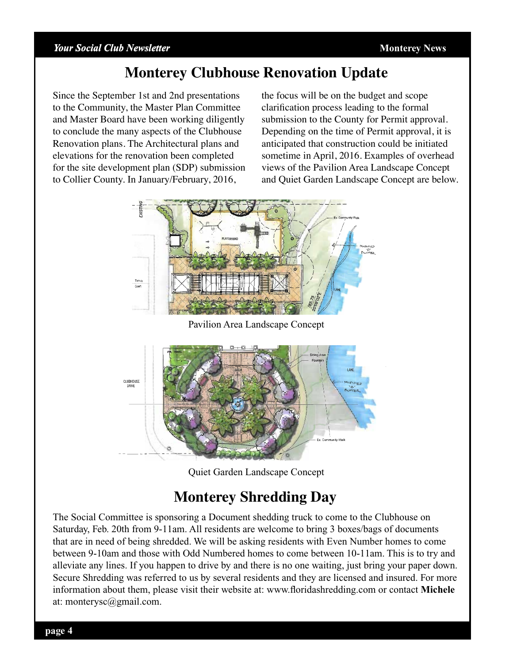### *Your Social Club Newsletter* **Monterey News Monterey News**

## **Monterey Clubhouse Renovation Update**

Since the September 1st and 2nd presentations to the Community, the Master Plan Committee and Master Board have been working diligently to conclude the many aspects of the Clubhouse Renovation plans. The Architectural plans and elevations for the renovation been completed for the site development plan (SDP) submission to Collier County. In January/February, 2016,

the focus will be on the budget and scope clarification process leading to the formal submission to the County for Permit approval. Depending on the time of Permit approval, it is anticipated that construction could be initiated sometime in April, 2016. Examples of overhead views of the Pavilion Area Landscape Concept and Quiet Garden Landscape Concept are below.



Pavilion Area Landscape Concept



Quiet Garden Landscape Concept

# **Monterey Shredding Day**

The Social Committee is sponsoring a Document shedding truck to come to the Clubhouse on Saturday, Feb. 20th from 9-11am. All residents are welcome to bring 3 boxes/bags of documents that are in need of being shredded. We will be asking residents with Even Number homes to come between 9-10am and those with Odd Numbered homes to come between 10-11am. This is to try and alleviate any lines. If you happen to drive by and there is no one waiting, just bring your paper down. Secure Shredding was referred to us by several residents and they are licensed and insured. For more information about them, please visit their website at: www.floridashredding.com or contact **Michele** at: monterysc@gmail.com.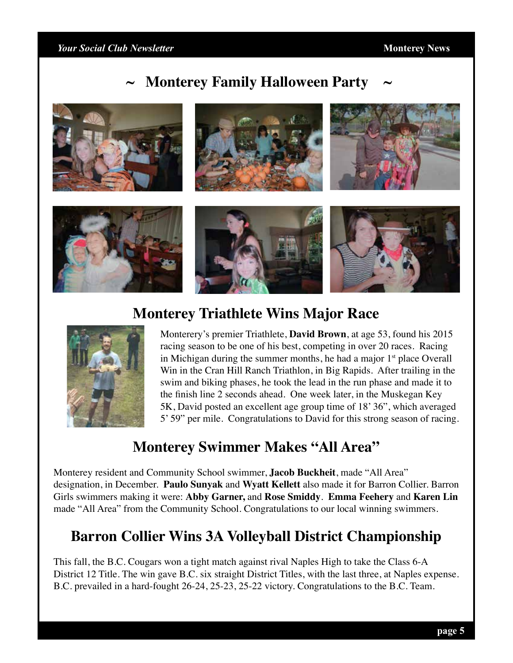#### *Your Social Club Newsletter* **Monterey News**

## **Monterey Family Halloween Party**



## **Monterey Triathlete Wins Major Race**



Monterery's premier Triathlete, **David Brown**, at age 53, found his 2015 racing season to be one of his best, competing in over 20 races. Racing in Michigan during the summer months, he had a major  $1<sup>st</sup>$  place Overall Win in the Cran Hill Ranch Triathlon, in Big Rapids. After trailing in the swim and biking phases, he took the lead in the run phase and made it to the finish line 2 seconds ahead. One week later, in the Muskegan Key 5K, David posted an excellent age group time of 18' 36", which averaged 5' 59" per mile. Congratulations to David for this strong season of racing.

# **Monterey Swimmer Makes "All Area"**

Monterey resident and Community School swimmer, **Jacob Buckheit**, made "All Area" designation, in December. **Paulo Sunyak** and **Wyatt Kellett** also made it for Barron Collier. Barron Girls swimmers making it were: **Abby Garner,** and **Rose Smiddy**. **Emma Feehery** and **Karen Lin** made "All Area" from the Community School. Congratulations to our local winning swimmers.

# **Barron Collier Wins 3A Volleyball District Championship**

This fall, the B.C. Cougars won a tight match against rival Naples High to take the Class 6-A District 12 Title. The win gave B.C. six straight District Titles, with the last three, at Naples expense. B.C. prevailed in a hard-fought 26-24, 25-23, 25-22 victory. Congratulations to the B.C. Team.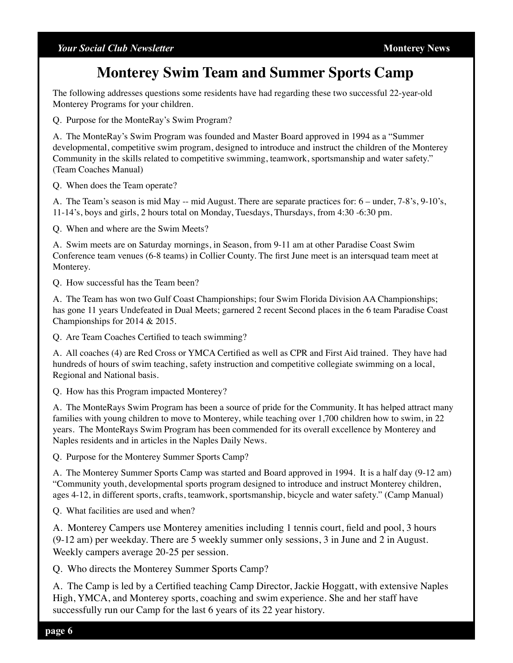# **Monterey Swim Team and Summer Sports Camp**

The following addresses questions some residents have had regarding these two successful 22-year-old Monterey Programs for your children.

Q. Purpose for the MonteRay's Swim Program?

A. The MonteRay's Swim Program was founded and Master Board approved in 1994 as a "Summer developmental, competitive swim program, designed to introduce and instruct the children of the Monterey Community in the skills related to competitive swimming, teamwork, sportsmanship and water safety." (Team Coaches Manual)

Q. When does the Team operate?

A. The Team's season is mid May -- mid August. There are separate practices for: 6 – under, 7-8's, 9-10's, 11-14's, boys and girls, 2 hours total on Monday, Tuesdays, Thursdays, from 4:30 -6:30 pm.

Q. When and where are the Swim Meets?

A. Swim meets are on Saturday mornings, in Season, from 9-11 am at other Paradise Coast Swim Conference team venues (6-8 teams) in Collier County. The first June meet is an intersquad team meet at Monterey.

Q. How successful has the Team been?

A. The Team has won two Gulf Coast Championships; four Swim Florida Division AA Championships; has gone 11 years Undefeated in Dual Meets; garnered 2 recent Second places in the 6 team Paradise Coast Championships for 2014 & 2015.

Q. Are Team Coaches Certified to teach swimming?

A. All coaches (4) are Red Cross or YMCA Certified as well as CPR and First Aid trained. They have had hundreds of hours of swim teaching, safety instruction and competitive collegiate swimming on a local, Regional and National basis.

Q. How has this Program impacted Monterey?

A. The MonteRays Swim Program has been a source of pride for the Community. It has helped attract many families with young children to move to Monterey, while teaching over 1,700 children how to swim, in 22 years. The MonteRays Swim Program has been commended for its overall excellence by Monterey and Naples residents and in articles in the Naples Daily News.

Q. Purpose for the Monterey Summer Sports Camp?

A. The Monterey Summer Sports Camp was started and Board approved in 1994. It is a half day (9-12 am) "Community youth, developmental sports program designed to introduce and instruct Monterey children, ages 4-12, in different sports, crafts, teamwork, sportsmanship, bicycle and water safety." (Camp Manual)

Q. What facilities are used and when?

A. Monterey Campers use Monterey amenities including 1 tennis court, field and pool, 3 hours (9-12 am) per weekday. There are 5 weekly summer only sessions, 3 in June and 2 in August. Weekly campers average 20-25 per session.

Q. Who directs the Monterey Summer Sports Camp?

A. The Camp is led by a Certified teaching Camp Director, Jackie Hoggatt, with extensive Naples High, YMCA, and Monterey sports, coaching and swim experience. She and her staff have successfully run our Camp for the last 6 years of its 22 year history.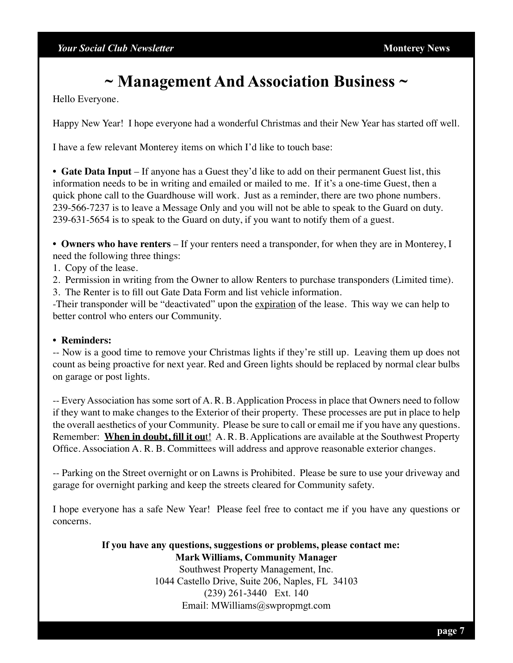# **~ Management And Association Business ~**

Hello Everyone.

Happy New Year! I hope everyone had a wonderful Christmas and their New Year has started off well.

I have a few relevant Monterey items on which I'd like to touch base:

**• Gate Data Input** – If anyone has a Guest they'd like to add on their permanent Guest list, this information needs to be in writing and emailed or mailed to me. If it's a one-time Guest, then a quick phone call to the Guardhouse will work. Just as a reminder, there are two phone numbers. 239-566-7237 is to leave a Message Only and you will not be able to speak to the Guard on duty. 239-631-5654 is to speak to the Guard on duty, if you want to notify them of a guest.

**• Owners who have renters** – If your renters need a transponder, for when they are in Monterey, I need the following three things:

1. Copy of the lease.

2. Permission in writing from the Owner to allow Renters to purchase transponders (Limited time).

3. The Renter is to fill out Gate Data Form and list vehicle information.

-Their transponder will be "deactivated" upon the expiration of the lease. This way we can help to better control who enters our Community.

#### **• Reminders:**

-- Now is a good time to remove your Christmas lights if they're still up. Leaving them up does not count as being proactive for next year. Red and Green lights should be replaced by normal clear bulbs on garage or post lights.

-- Every Association has some sort of A. R. B. Application Process in place that Owners need to follow if they want to make changes to the Exterior of their property. These processes are put in place to help the overall aesthetics of your Community. Please be sure to call or email me if you have any questions. Remember: **When in doubt, fill it out!** A. R. B. Applications are available at the Southwest Property Office. Association A. R. B. Committees will address and approve reasonable exterior changes.

-- Parking on the Street overnight or on Lawns is Prohibited. Please be sure to use your driveway and garage for overnight parking and keep the streets cleared for Community safety.

I hope everyone has a safe New Year! Please feel free to contact me if you have any questions or concerns.

### **If you have any questions, suggestions or problems, please contact me: Mark Williams, Community Manager**

Southwest Property Management, Inc. 1044 Castello Drive, Suite 206, Naples, FL 34103 (239) 261-3440 Ext. 140 Email: MWilliams@swpropmgt.com